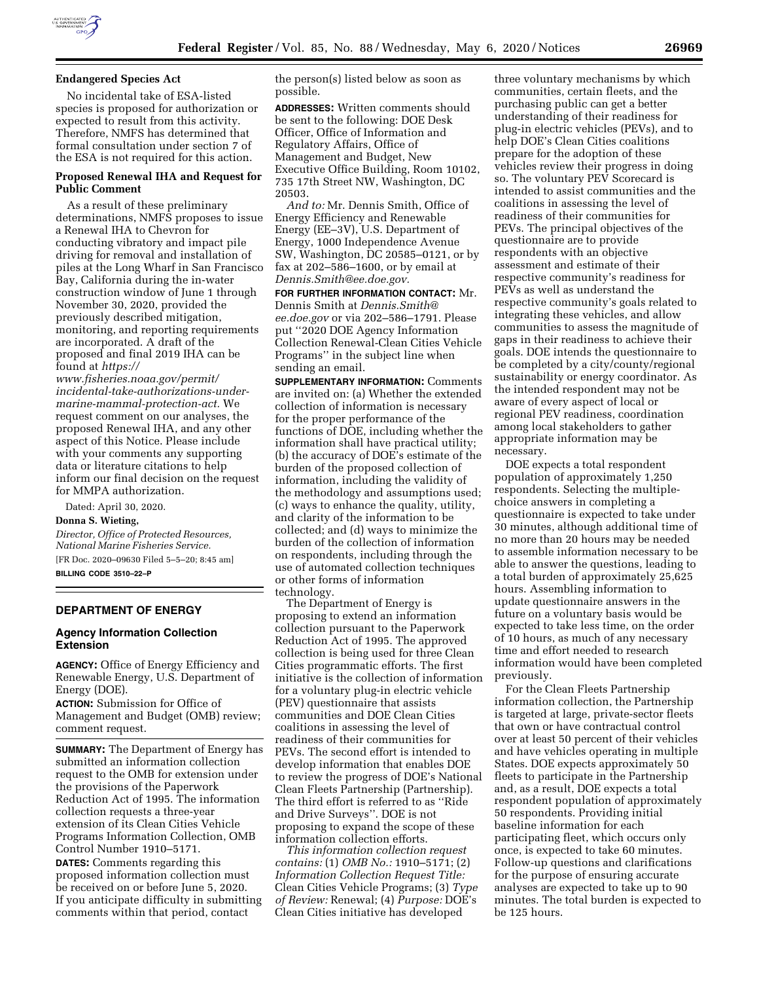

## **Endangered Species Act**

No incidental take of ESA-listed species is proposed for authorization or expected to result from this activity. Therefore, NMFS has determined that formal consultation under section 7 of the ESA is not required for this action.

## **Proposed Renewal IHA and Request for Public Comment**

As a result of these preliminary determinations, NMFS proposes to issue a Renewal IHA to Chevron for conducting vibratory and impact pile driving for removal and installation of piles at the Long Wharf in San Francisco Bay, California during the in-water construction window of June 1 through November 30, 2020, provided the previously described mitigation, monitoring, and reporting requirements are incorporated. A draft of the proposed and final 2019 IHA can be found at *[https://](https://www.fisheries.noaa.gov/permit/incidental-take-authorizations-under-marine-mammal-protection-act)*

*[www.fisheries.noaa.gov/permit/](https://www.fisheries.noaa.gov/permit/incidental-take-authorizations-under-marine-mammal-protection-act)  [incidental-take-authorizations-under](https://www.fisheries.noaa.gov/permit/incidental-take-authorizations-under-marine-mammal-protection-act)[marine-mammal-protection-act.](https://www.fisheries.noaa.gov/permit/incidental-take-authorizations-under-marine-mammal-protection-act)* We request comment on our analyses, the proposed Renewal IHA, and any other aspect of this Notice. Please include with your comments any supporting data or literature citations to help inform our final decision on the request for MMPA authorization.

Dated: April 30, 2020.

#### **Donna S. Wieting,**

*Director, Office of Protected Resources, National Marine Fisheries Service.* 

[FR Doc. 2020–09630 Filed 5–5–20; 8:45 am] **BILLING CODE 3510–22–P** 

### **DEPARTMENT OF ENERGY**

### **Agency Information Collection Extension**

**AGENCY:** Office of Energy Efficiency and Renewable Energy, U.S. Department of Energy (DOE).

**ACTION:** Submission for Office of Management and Budget (OMB) review; comment request.

**SUMMARY:** The Department of Energy has submitted an information collection request to the OMB for extension under the provisions of the Paperwork Reduction Act of 1995. The information collection requests a three-year extension of its Clean Cities Vehicle Programs Information Collection, OMB Control Number 1910–5171.

**DATES:** Comments regarding this proposed information collection must be received on or before June 5, 2020. If you anticipate difficulty in submitting comments within that period, contact

the person(s) listed below as soon as possible.

**ADDRESSES:** Written comments should be sent to the following: DOE Desk Officer, Office of Information and Regulatory Affairs, Office of Management and Budget, New Executive Office Building, Room 10102, 735 17th Street NW, Washington, DC 20503.

*And to:* Mr. Dennis Smith, Office of Energy Efficiency and Renewable Energy (EE–3V), U.S. Department of Energy, 1000 Independence Avenue SW, Washington, DC 20585–0121, or by fax at 202–586–1600, or by email at *[Dennis.Smith@ee.doe.gov.](mailto:Dennis.Smith@ee.doe.gov)* 

**FOR FURTHER INFORMATION CONTACT:** Mr. Dennis Smith at *[Dennis.Smith@](mailto:Dennis.Smith@ee.doe.gov) [ee.doe.gov](mailto:Dennis.Smith@ee.doe.gov)* or via 202–586–1791. Please put ''2020 DOE Agency Information Collection Renewal-Clean Cities Vehicle Programs'' in the subject line when sending an email.

**SUPPLEMENTARY INFORMATION:** Comments are invited on: (a) Whether the extended collection of information is necessary for the proper performance of the functions of DOE, including whether the information shall have practical utility; (b) the accuracy of DOE's estimate of the burden of the proposed collection of information, including the validity of the methodology and assumptions used; (c) ways to enhance the quality, utility, and clarity of the information to be collected; and (d) ways to minimize the burden of the collection of information on respondents, including through the use of automated collection techniques or other forms of information technology.

The Department of Energy is proposing to extend an information collection pursuant to the Paperwork Reduction Act of 1995. The approved collection is being used for three Clean Cities programmatic efforts. The first initiative is the collection of information for a voluntary plug-in electric vehicle (PEV) questionnaire that assists communities and DOE Clean Cities coalitions in assessing the level of readiness of their communities for PEVs. The second effort is intended to develop information that enables DOE to review the progress of DOE's National Clean Fleets Partnership (Partnership). The third effort is referred to as ''Ride and Drive Surveys''. DOE is not proposing to expand the scope of these information collection efforts.

*This information collection request contains:* (1) *OMB No.:* 1910–5171; (2) *Information Collection Request Title:*  Clean Cities Vehicle Programs; (3) *Type of Review:* Renewal; (4) *Purpose:* DOE's Clean Cities initiative has developed

three voluntary mechanisms by which communities, certain fleets, and the purchasing public can get a better understanding of their readiness for plug-in electric vehicles (PEVs), and to help DOE's Clean Cities coalitions prepare for the adoption of these vehicles review their progress in doing so. The voluntary PEV Scorecard is intended to assist communities and the coalitions in assessing the level of readiness of their communities for PEVs. The principal objectives of the questionnaire are to provide respondents with an objective assessment and estimate of their respective community's readiness for PEVs as well as understand the respective community's goals related to integrating these vehicles, and allow communities to assess the magnitude of gaps in their readiness to achieve their goals. DOE intends the questionnaire to be completed by a city/county/regional sustainability or energy coordinator. As the intended respondent may not be aware of every aspect of local or regional PEV readiness, coordination among local stakeholders to gather appropriate information may be necessary.

DOE expects a total respondent population of approximately 1,250 respondents. Selecting the multiplechoice answers in completing a questionnaire is expected to take under 30 minutes, although additional time of no more than 20 hours may be needed to assemble information necessary to be able to answer the questions, leading to a total burden of approximately 25,625 hours. Assembling information to update questionnaire answers in the future on a voluntary basis would be expected to take less time, on the order of 10 hours, as much of any necessary time and effort needed to research information would have been completed previously.

For the Clean Fleets Partnership information collection, the Partnership is targeted at large, private-sector fleets that own or have contractual control over at least 50 percent of their vehicles and have vehicles operating in multiple States. DOE expects approximately 50 fleets to participate in the Partnership and, as a result, DOE expects a total respondent population of approximately 50 respondents. Providing initial baseline information for each participating fleet, which occurs only once, is expected to take 60 minutes. Follow-up questions and clarifications for the purpose of ensuring accurate analyses are expected to take up to 90 minutes. The total burden is expected to be 125 hours.